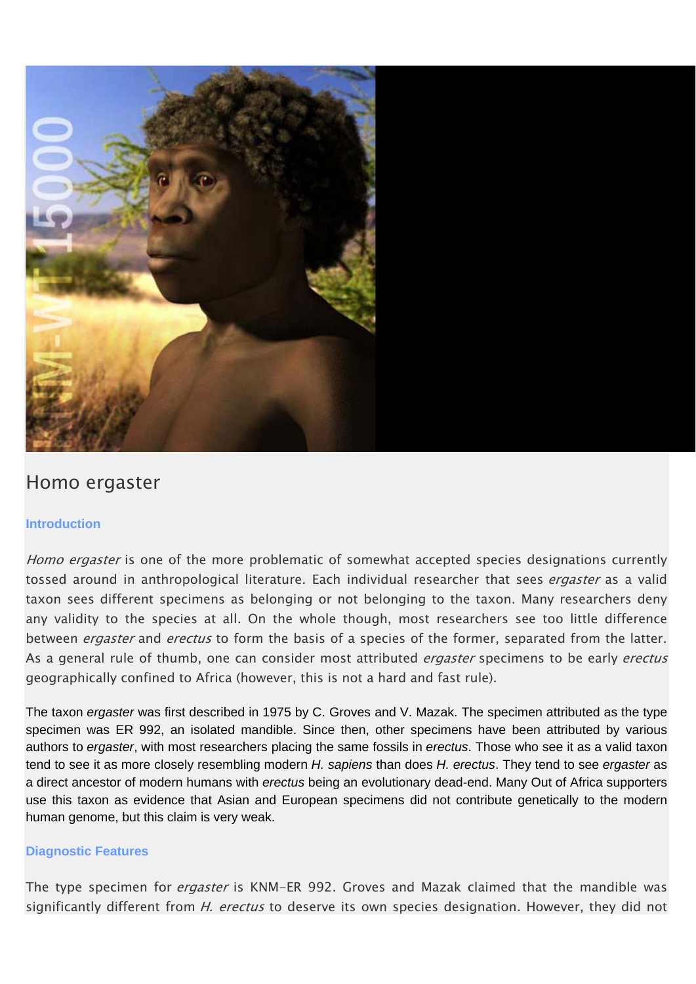

# Homo ergaster

## **Introduction**

Homo ergaster is one of the more problematic of somewhat accepted species designations currently tossed around in anthropological literature. Each individual researcher that sees *ergaster* as a valid taxon sees different specimens as belonging or not belonging to the taxon. Many researchers deny any validity to the species at all. On the whole though, most researchers see too little difference between *ergaster* and *erectus* to form the basis of a species of the former, separated from the latter. As a general rule of thumb, one can consider most attributed *ergaster* specimens to be early *erectus* geographically confined to Africa (however, this is not a hard and fast rule).

The taxon *ergaster* was first described in 1975 by C. Groves and V. Mazak. The specimen attributed as the type specimen was ER 992, an isolated mandible. Since then, other specimens have been attributed by various authors to *ergaster*, with most researchers placing the same fossils in *erectus*. Those who see it as a valid taxon tend to see it as more closely resembling modern *H. sapiens* than does *H. erectus*. They tend to see *ergaster* as a direct ancestor of modern humans with *erectus* being an evolutionary dead-end. Many Out of Africa supporters use this taxon as evidence that Asian and European specimens did not contribute genetically to the modern human genome, but this claim is very weak.

## **Diagnostic Features**

The type specimen for *ergaster* is KNM-ER 992. Groves and Mazak claimed that the mandible was significantly different from *H. erectus* to deserve its own species designation. However, they did not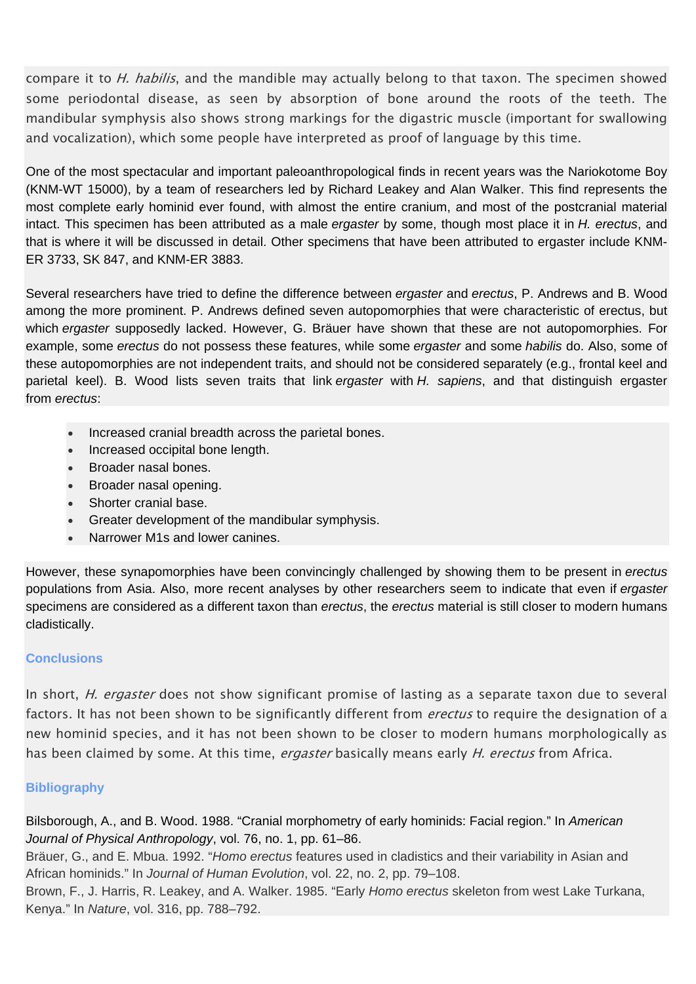compare it to *H. habilis*, and the mandible may actually belong to that taxon. The specimen showed some periodontal disease, as seen by absorption of bone around the roots of the teeth. The mandibular symphysis also shows strong markings for the digastric muscle (important for swallowing and vocalization), which some people have interpreted as proof of language by this time.

One of the most spectacular and important paleoanthropological finds in recent years was the Nariokotome Boy (KNM-WT 15000), by a team of researchers led by Richard Leakey and Alan Walker. This find represents the most complete early hominid ever found, with almost the entire cranium, and most of the postcranial material intact. This specimen has been attributed as a male *ergaster* by some, though most place it in *H. erectus*, and that is where it will be discussed in detail. Other specimens that have been attributed to ergaster include KNM-ER 3733, SK 847, and KNM-ER 3883.

Several researchers have tried to define the difference between *ergaster* and *erectus*, P. Andrews and B. Wood among the more prominent. P. Andrews defined seven autopomorphies that were characteristic of erectus, but which *ergaster* supposedly lacked. However, G. Bräuer have shown that these are not autopomorphies. For example, some *erectus* do not possess these features, while some *ergaster* and some *habilis* do. Also, some of these autopomorphies are not independent traits, and should not be considered separately (e.g., frontal keel and parietal keel). B. Wood lists seven traits that link *ergaster* with *H. sapiens*, and that distinguish ergaster from *erectus*:

- Increased cranial breadth across the parietal bones.
- Increased occipital bone length.
- Broader nasal bones.
- Broader nasal opening.
- Shorter cranial base.
- Greater development of the mandibular symphysis.
- Narrower M1s and lower canines.

However, these synapomorphies have been convincingly challenged by showing them to be present in *erectus* populations from Asia. Also, more recent analyses by other researchers seem to indicate that even if *ergaster* specimens are considered as a different taxon than *erectus*, the *erectus* material is still closer to modern humans cladistically.

## **Conclusions**

In short, *H. ergaster* does not show significant promise of lasting as a separate taxon due to several factors. It has not been shown to be significantly different from *erectus* to require the designation of a new hominid species, and it has not been shown to be closer to modern humans morphologically as has been claimed by some. At this time, *ergaster* basically means early H. erectus from Africa.

## **Bibliography**

Bilsborough, A., and B. Wood. 1988. "Cranial morphometry of early hominids: Facial region." In *American Journal of Physical Anthropology*, vol. 76, no. 1, pp. 61–86.

Bräuer, G., and E. Mbua. 1992. "*Homo erectus* features used in cladistics and their variability in Asian and African hominids." In *Journal of Human Evolution*, vol. 22, no. 2, pp. 79–108.

Brown, F., J. Harris, R. Leakey, and A. Walker. 1985. "Early *Homo erectus* skeleton from west Lake Turkana, Kenya." In *Nature*, vol. 316, pp. 788–792.